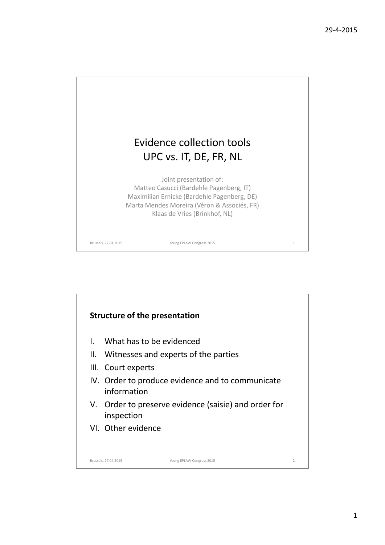

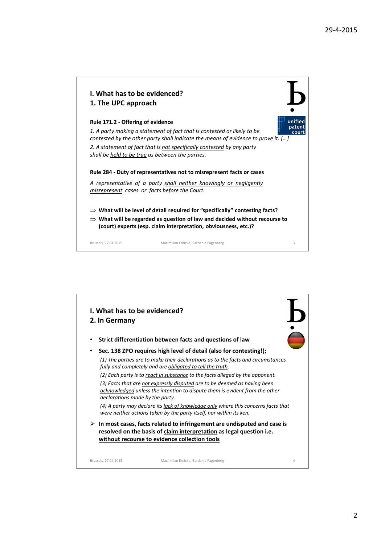

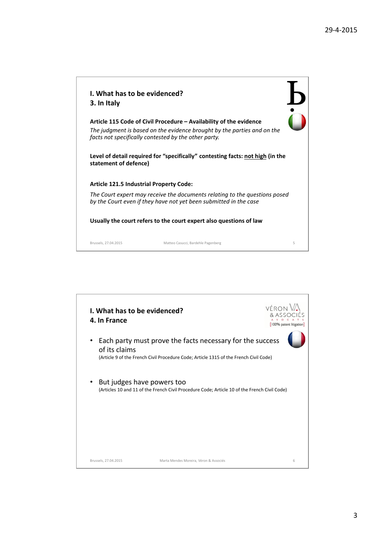| I. What has to be evidenced?<br>3. In Italy                                                                                                     |                                                                                                                                               |   |  |
|-------------------------------------------------------------------------------------------------------------------------------------------------|-----------------------------------------------------------------------------------------------------------------------------------------------|---|--|
| facts not specifically contested by the other party.                                                                                            | Article 115 Code of Civil Procedure – Availability of the evidence<br>The judgment is based on the evidence brought by the parties and on the |   |  |
| statement of defence)                                                                                                                           | Level of detail required for "specifically" contesting facts: not high (in the                                                                |   |  |
| <b>Article 121.5 Industrial Property Code:</b>                                                                                                  |                                                                                                                                               |   |  |
| The Court expert may receive the documents relating to the questions posed<br>by the Court even if they have not yet been submitted in the case |                                                                                                                                               |   |  |
| Usually the court refers to the court expert also questions of law                                                                              |                                                                                                                                               |   |  |
| Brussels, 27.04.2015                                                                                                                            | Matteo Casucci, Bardehle Pagenberg                                                                                                            | 5 |  |

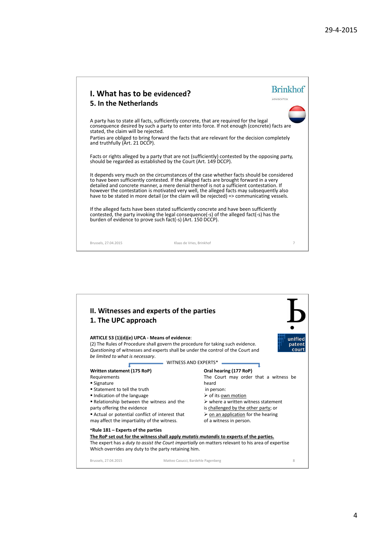| I. What has to be evidenced?<br>5. In the Netherlands                 |                                                                                                                                                                                                                                                                                                                                                                                                                                                                           | <b>Brinkhof</b><br>ADVOCATEN |
|-----------------------------------------------------------------------|---------------------------------------------------------------------------------------------------------------------------------------------------------------------------------------------------------------------------------------------------------------------------------------------------------------------------------------------------------------------------------------------------------------------------------------------------------------------------|------------------------------|
| stated, the claim will be rejected.<br>and truthfully (Art. 21 DCCP). | A party has to state all facts, sufficiently concrete, that are required for the legal<br>consequence desired by such a party to enter into force. If not enough (concrete) facts are<br>Parties are obliged to bring forward the facts that are relevant for the decision completely                                                                                                                                                                                     |                              |
| should be regarded as established by the Court (Art. 149 DCCP).       | Facts or rights alleged by a party that are not (sufficiently) contested by the opposing party,                                                                                                                                                                                                                                                                                                                                                                           |                              |
|                                                                       | It depends very much on the circumstances of the case whether facts should be considered<br>to have been sufficiently contested. If the alleged facts are brought forward in a very<br>detailed and concrete manner, a mere denial thereof is not a sufficient contestation. If<br>however the contestation is motivated very well, the alleged facts may subsequently also<br>have to be stated in more detail (or the claim will be rejected) => communicating vessels. |                              |
| burden of evidence to prove such fact(-s) (Art. 150 DCCP).            | If the alleged facts have been stated sufficiently concrete and have been sufficiently<br>contested, the party invoking the legal consequence(-s) of the alleged fact(-s) has the                                                                                                                                                                                                                                                                                         |                              |
| Brussels, 27.04.2015                                                  | Klaas de Vries, Brinkhof                                                                                                                                                                                                                                                                                                                                                                                                                                                  | 7                            |

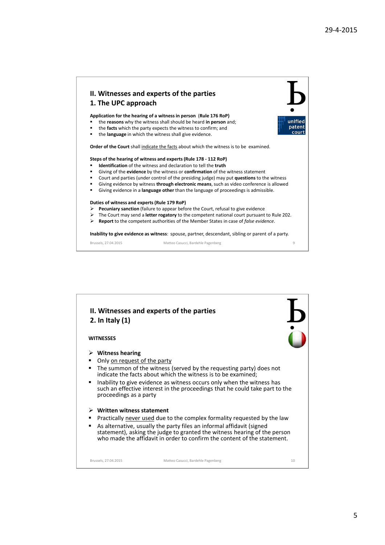

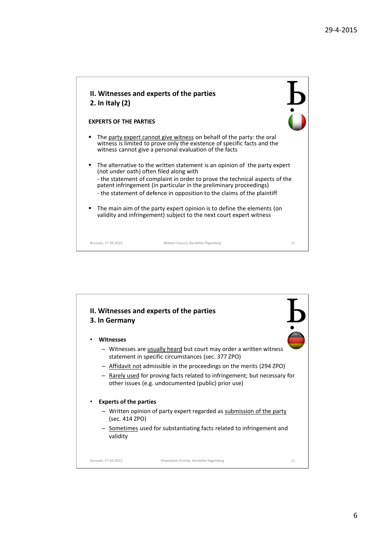

## **EXPERTS OF THE PARTIES**

- The party expert cannot give witness on behalf of the party: the oral witness is limited to prove only the existence of specific facts and the witness cannot give a personal evaluation of the facts
- The alternative to the written statement is an opinion of the party expert (not under oath) often filed along with - the statement of complaint in order to prove the technical aspects of the patent infringement (in particular in the preliminary proceedings) - the statement of defence in opposition to the claims of the plaintiff
- The main aim of the party expert opinion is to define the elements (on validity and infringement) subject to the next court expert witness

Brussels, 27.04.2015 Matteo Casucci, Bardehle Pagenberg 11

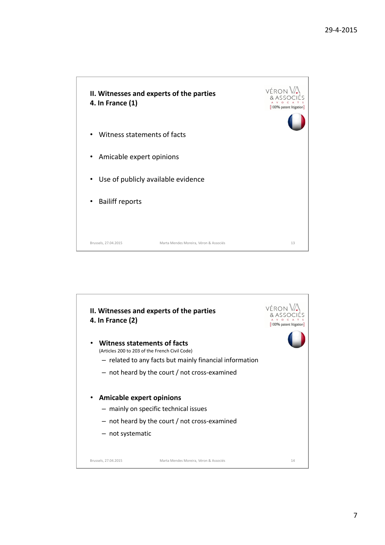

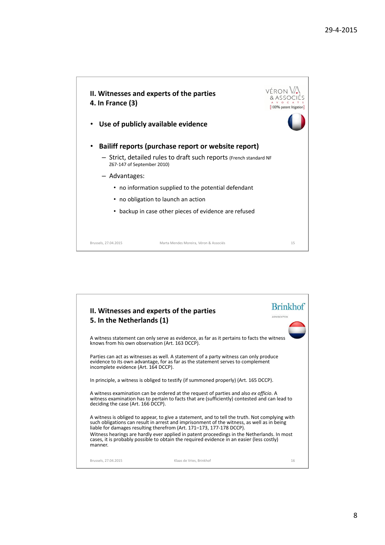

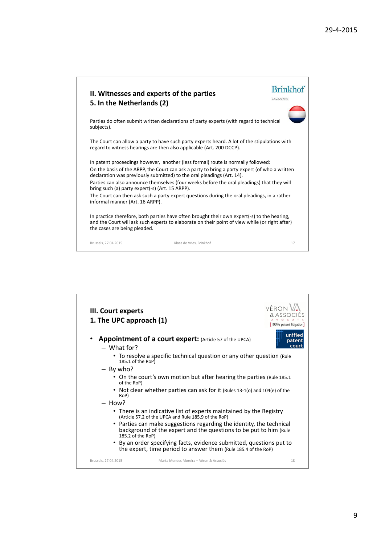| II. Witnesses and experts of the parties<br>5. In the Netherlands (2)                                                                                        |                                                                                                                                                                                                                                                                                                                                                                                | <b>Brinkhof</b><br>ADVOCATEN |
|--------------------------------------------------------------------------------------------------------------------------------------------------------------|--------------------------------------------------------------------------------------------------------------------------------------------------------------------------------------------------------------------------------------------------------------------------------------------------------------------------------------------------------------------------------|------------------------------|
| subjects).                                                                                                                                                   | Parties do often submit written declarations of party experts (with regard to technical                                                                                                                                                                                                                                                                                        |                              |
| regard to witness hearings are then also applicable (Art. 200 DCCP).                                                                                         | The Court can allow a party to have such party experts heard. A lot of the stipulations with                                                                                                                                                                                                                                                                                   |                              |
| declaration was previously submitted) to the oral pleadings (Art. 14).<br>bring such (a) party expert(-s) (Art. 15 ARPP).<br>informal manner (Art. 16 ARPP). | In patent proceedings however, another (less formal) route is normally followed:<br>On the basis of the ARPP, the Court can ask a party to bring a party expert (of who a written<br>Parties can also announce themselves (four weeks before the oral pleadings) that they will<br>The Court can then ask such a party expert questions during the oral pleadings, in a rather |                              |
| the cases are being pleaded.                                                                                                                                 | In practice therefore, both parties have often brought their own expert(-s) to the hearing,<br>and the Court will ask such experts to elaborate on their point of view while (or right after)                                                                                                                                                                                  |                              |
| Brussels, 27.04.2015                                                                                                                                         | Klaas de Vries, Brinkhof                                                                                                                                                                                                                                                                                                                                                       | 17                           |

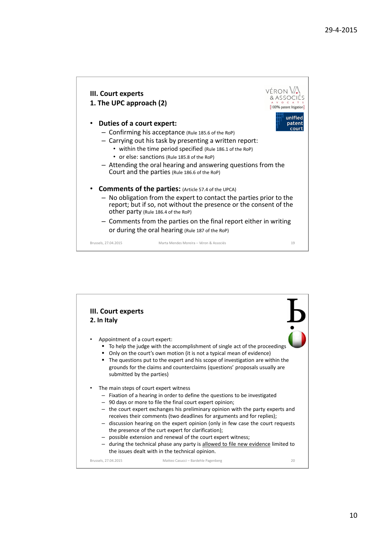

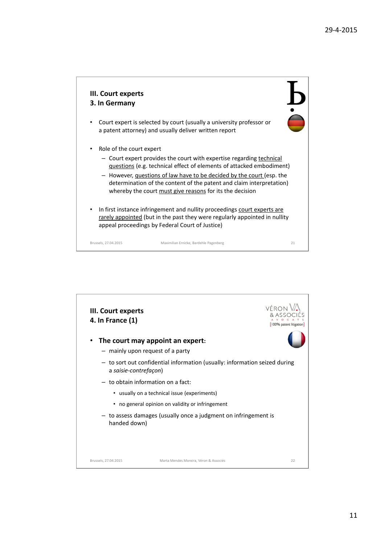

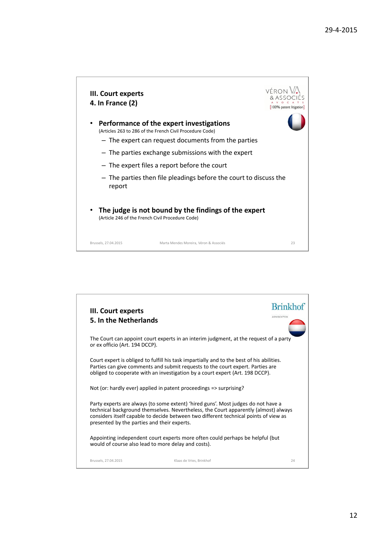

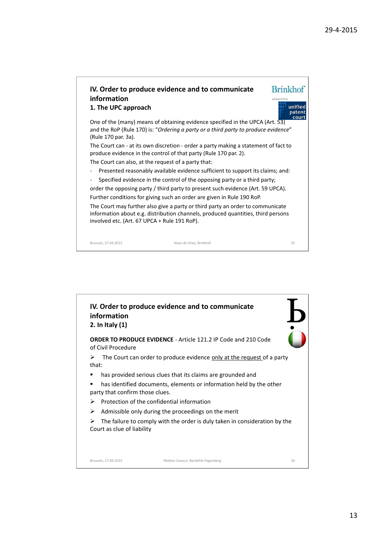

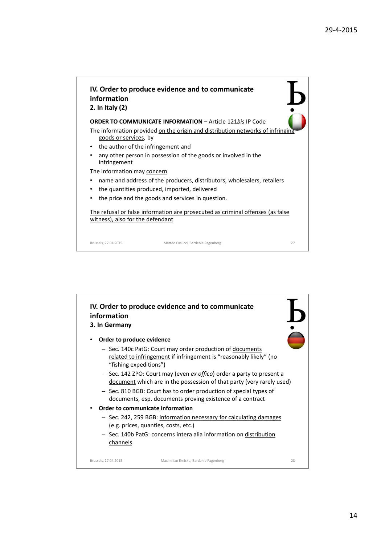

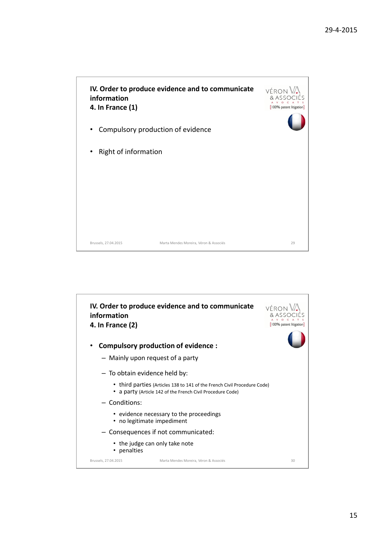

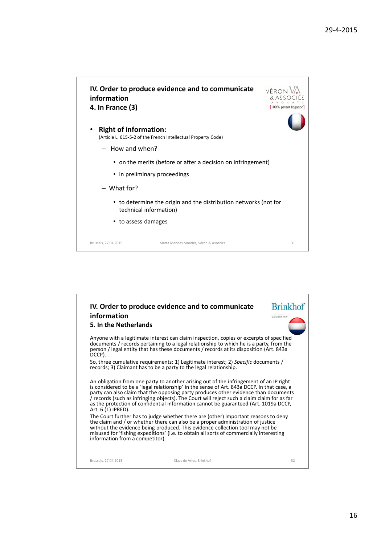

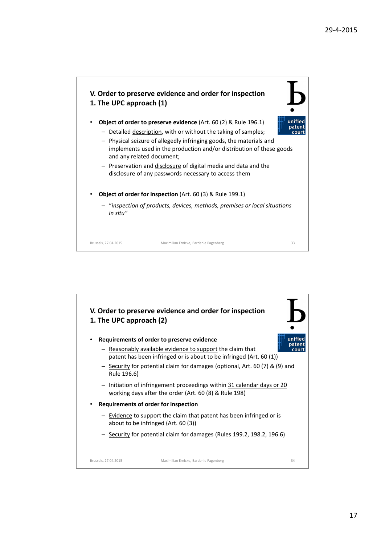

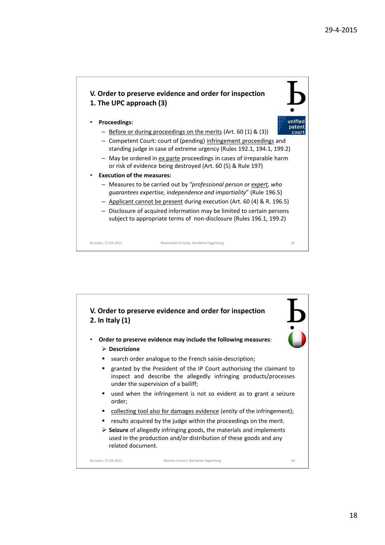## **V. Order to preserve evidence and order for inspection 1. The UPC approach (3)**



- **Proceedings:**
	- Before or during proceedings on the merits (Art. 60 (1) & (3))
	- Competent Court: court of (pending) infringement proceedings and standing judge in case of extreme urgency (Rules 192.1, 194.1, 199.2)
	- May be ordered in ex parte proceedings in cases of irreparable harm or risk of evidence being destroyed (Art. 60 (5) & Rule 197)
- **Execution of the measures:**
	- Measures to be carried out by *"professional person or expert, who guarantees expertise, independence and impartiality*" (Rule 196.5)
	- Applicant cannot be present during execution (Art. 60 (4) & R. 196.5)
	- Disclosure of acquired information may be limited to certain persons subject to appropriate terms of non-disclosure (Rules 196.1, 199.2)

Brussels, 27.04.2015 Maximilian Ernicke, Bardehle Pagenberg 35

**V. Order to preserve evidence and order for inspection 2. In Italy (1)** • **Order to preserve evidence may include the following measures**: **Descrizione search order analogue to the French saisie-description; EXECUTE:** Frestriangleright of the IP Court authorising the claimant to inspect and describe the allegedly infringing products/processes under the supervision of a bailiff; used when the infringement is not so evident as to grant a seizure order; collecting tool also for damages evidence (*entity* of the infringement); results acquired by the judge within the proceedings on the merit. **Seizure** of allegedly infringing goods, the materials and implements used in the production and/or distribution of these goods and any related document. Brussels, 27.04.2015 Matteo Casucci, Bardehle Pagenberg 36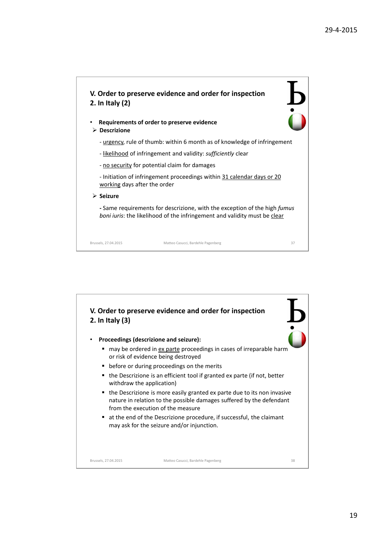

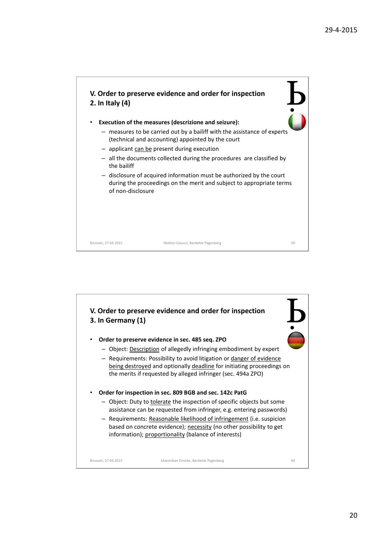

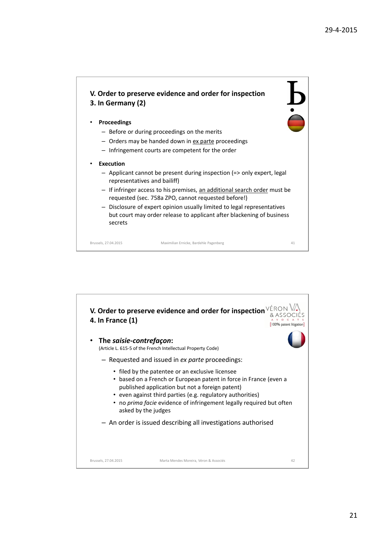Ь<br>Ö

## **V. Order to preserve evidence and order for inspection 3. In Germany (2)**

## • **Proceedings**

- Before or during proceedings on the merits
- Orders may be handed down in ex parte proceedings
- Infringement courts are competent for the order
- **Execution**
	- Applicant cannot be present during inspection (=> only expert, legal representatives and bailiff)
	- If infringer access to his premises, an additional search order must be requested (sec. 758a ZPO, cannot requested before!)
	- Disclosure of expert opinion usually limited to legal representatives but court may order release to applicant after blackening of business secrets

Brussels, 27.04.2015 Maximilian Ernicke, Bardehle Pagenberg 41

**V. Order to preserve evidence and order for inspection** & ASSOCIÉS **4. In France (1)** [100% patent litigation] • **The** *saisie-contrefaçon***:** (Article L. 615-5 of the French Intellectual Property Code) – Requested and issued in *ex parte* proceedings: • filed by the patentee or an exclusive licensee • based on a French or European patent in force in France (even a published application but not a foreign patent) • even against third parties (e.g. regulatory authorities) • no *prima facie* evidence of infringement legally required but often asked by the judges – An order is issued describing all investigations authorisedBrussels, 27.04.2015 Marta Mendes Moreira, Véron & Associés 42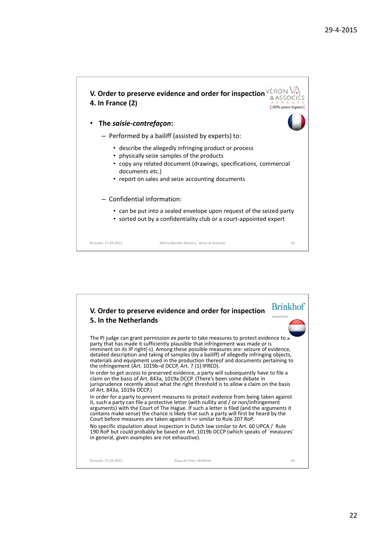

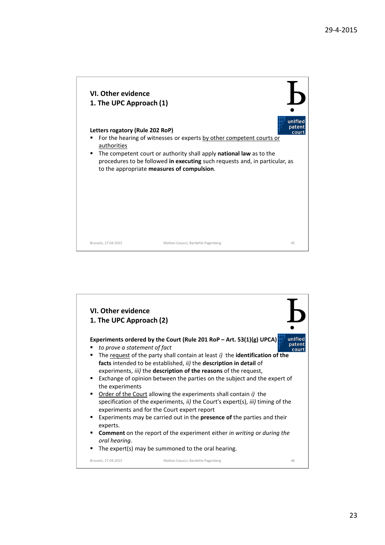

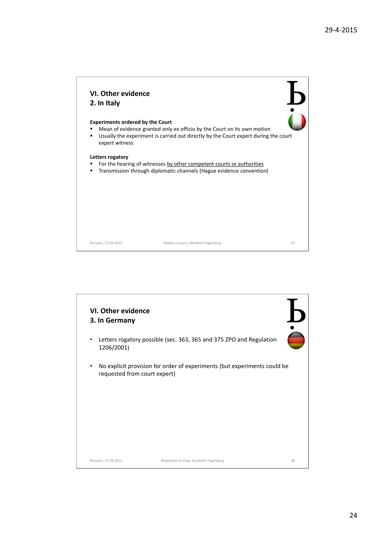

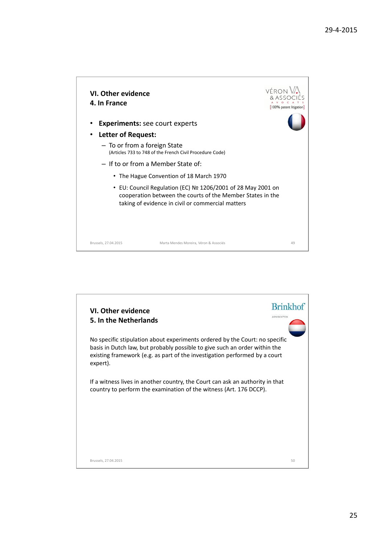